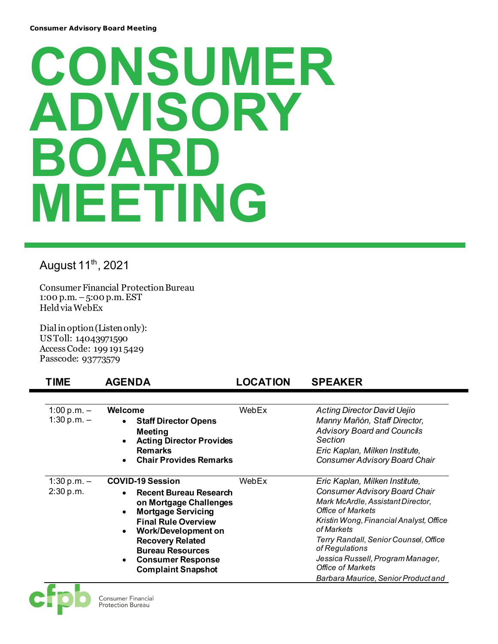## **CONSUMER DVISORY BOA MEETING**

August 11<sup>th</sup>, 2021

Consumer Financial Protection Bureau 1:00 p.m. –5:00 p.m. EST Held via WebEx

Dial in option (Listen only): US Toll: 14043971590 Access Code: 199 191 5429 Passcode: 93773579

## **TIME AGENDA LOCATION SPEAKER**

| 1:00 p.m. $-$<br>1:30 p.m. $-$ | Welcome<br><b>Staff Director Opens</b><br>$\bullet$<br>Meeting<br><b>Acting Director Provides</b><br><b>Remarks</b><br><b>Chair Provides Remarks</b><br>$\bullet$                                                                                                                                                          | WebEx | <b>Acting Director David Uejio</b><br>Manny Mañón, Staff Director,<br><b>Advisory Board and Councils</b><br>Section<br>Eric Kaplan, Milken Institute,<br><b>Consumer Advisory Board Chair</b>                                                                                                                                                                       |
|--------------------------------|----------------------------------------------------------------------------------------------------------------------------------------------------------------------------------------------------------------------------------------------------------------------------------------------------------------------------|-------|---------------------------------------------------------------------------------------------------------------------------------------------------------------------------------------------------------------------------------------------------------------------------------------------------------------------------------------------------------------------|
| $1:30 p.m. -$<br>2:30 p.m.     | <b>COVID-19 Session</b><br>Recent Bureau Research<br>$\bullet$<br>on Mortgage Challenges<br><b>Mortgage Servicing</b><br>$\bullet$<br><b>Final Rule Overview</b><br><b>Work/Development on</b><br>$\bullet$<br><b>Recovery Related</b><br><b>Bureau Resources</b><br><b>Consumer Response</b><br><b>Complaint Snapshot</b> | WebEx | Eric Kaplan, Milken Institute,<br><b>Consumer Advisory Board Chair</b><br>Mark McArdle, Assistant Director,<br><b>Office of Markets</b><br>Kristin Wong, Financial Analyst, Office<br>of Markets<br>Terry Randall, Senior Counsel, Office<br>of Regulations<br>Jessica Russell, Program Manager,<br><b>Office of Markets</b><br>Barbara Maurice, Senior Product and |